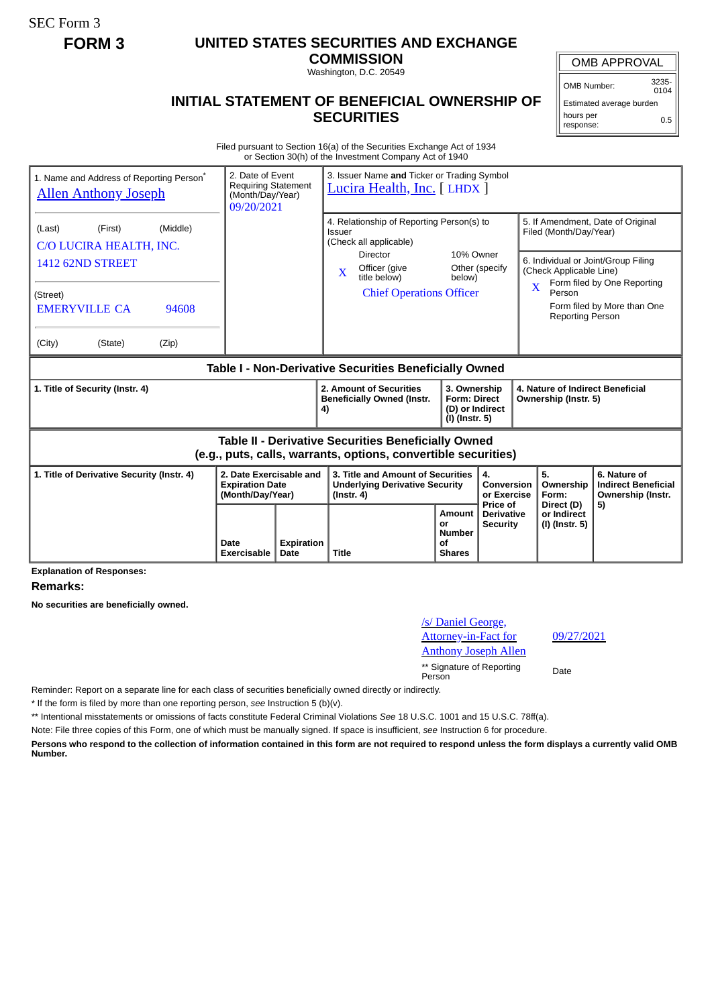SEC Form 3

## **FORM 3 UNITED STATES SECURITIES AND EXCHANGE**

**COMMISSION** Washington, D.C. 20549

## OMB APPROVAL

OMB Number: 3235-  $0104$ 

Estimated average burden hours per response: 0.5

## **INITIAL STATEMENT OF BENEFICIAL OWNERSHIP OF SECURITIES**

Filed pursuant to Section 16(a) of the Securities Exchange Act of 1934 or Section 30(h) of the Investment Company Act of 1940

| 1. Name and Address of Reporting Person <sup>®</sup><br><b>Allen Anthony Joseph</b>                                                                            | 2. Date of Event<br><b>Requiring Statement</b><br>(Month/Day/Year)<br>09/20/2021 |                    | 3. Issuer Name and Ticker or Trading Symbol<br>Lucira Health, Inc. [ LHDX ]                                                                                                                     |                                                                            |                                                  |                                                                                                       |                                                                                                                                        |
|----------------------------------------------------------------------------------------------------------------------------------------------------------------|----------------------------------------------------------------------------------|--------------------|-------------------------------------------------------------------------------------------------------------------------------------------------------------------------------------------------|----------------------------------------------------------------------------|--------------------------------------------------|-------------------------------------------------------------------------------------------------------|----------------------------------------------------------------------------------------------------------------------------------------|
| (Middle)<br>(First)<br>(Last)<br>C/O LUCIRA HEALTH, INC.<br><b>1412 62ND STREET</b><br>(Street)<br><b>EMERYVILLE CA</b><br>94608<br>(City)<br>(Zip)<br>(State) |                                                                                  |                    | 4. Relationship of Reporting Person(s) to<br>Issuer<br>(Check all applicable)<br><b>Director</b><br>Officer (give<br>$\overline{\mathbf{X}}$<br>title below)<br><b>Chief Operations Officer</b> | 10% Owner<br>below)                                                        | Other (specify                                   | Filed (Month/Day/Year)<br>(Check Applicable Line)<br>$\mathbf x$<br>Person<br><b>Reporting Person</b> | 5. If Amendment, Date of Original<br>6. Individual or Joint/Group Filing<br>Form filed by One Reporting<br>Form filed by More than One |
| Table I - Non-Derivative Securities Beneficially Owned                                                                                                         |                                                                                  |                    |                                                                                                                                                                                                 |                                                                            |                                                  |                                                                                                       |                                                                                                                                        |
| 1. Title of Security (Instr. 4)                                                                                                                                |                                                                                  |                    | 2. Amount of Securities<br><b>Beneficially Owned (Instr.</b><br>4)                                                                                                                              | 3. Ownership<br><b>Form: Direct</b><br>(D) or Indirect<br>$(I)$ (Instr. 5) |                                                  | 4. Nature of Indirect Beneficial<br>Ownership (Instr. 5)                                              |                                                                                                                                        |
| <b>Table II - Derivative Securities Beneficially Owned</b><br>(e.g., puts, calls, warrants, options, convertible securities)                                   |                                                                                  |                    |                                                                                                                                                                                                 |                                                                            |                                                  |                                                                                                       |                                                                                                                                        |
| 2. Date Exercisable and<br>1. Title of Derivative Security (Instr. 4)<br><b>Expiration Date</b><br>(Month/Day/Year)                                            |                                                                                  |                    | 3. Title and Amount of Securities<br><b>Underlying Derivative Security</b><br>$($ lnstr. 4 $)$                                                                                                  |                                                                            | 4.<br>Conversion<br>or Exercise                  | 5.<br>Ownership<br>Form:                                                                              | 6. Nature of<br><b>Indirect Beneficial</b><br>Ownership (Instr.                                                                        |
|                                                                                                                                                                | Date<br>Exercisable                                                              | Expiration<br>Date | <b>Title</b>                                                                                                                                                                                    | <b>Amount</b><br>or<br><b>Number</b><br>Οf<br><b>Shares</b>                | Price of<br><b>Derivative</b><br><b>Security</b> | Direct (D)<br>or Indirect<br>(I) (Instr. 5)                                                           | 5)                                                                                                                                     |

**Explanation of Responses:**

**Remarks:**

**No securities are beneficially owned.**

/s/ Daniel George, Attorney-in-Fact for Anthony Joseph Allen 09/27/2021 \*\* Signature of Reporting Person Date

Reminder: Report on a separate line for each class of securities beneficially owned directly or indirectly.

\* If the form is filed by more than one reporting person, *see* Instruction 5 (b)(v).

\*\* Intentional misstatements or omissions of facts constitute Federal Criminal Violations *See* 18 U.S.C. 1001 and 15 U.S.C. 78ff(a).

Note: File three copies of this Form, one of which must be manually signed. If space is insufficient, *see* Instruction 6 for procedure.

**Persons who respond to the collection of information contained in this form are not required to respond unless the form displays a currently valid OMB Number.**